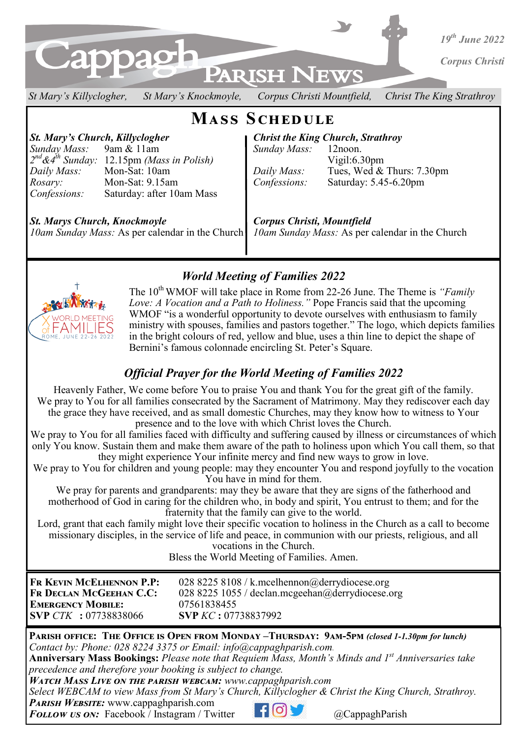

*St Mary's Killyclogher, St Mary's Knockmoyle, Corpus Christi Mountfield, Christ The King Strathroy* 

# **Mass Schedule**

*Sunday Mass:* 9am & 11am *Sunday Mass:* 12noon. *2 nd&4th Sunday:* 12.15pm *(Mass in Polish)* Vigil:6.30pm *Rosary:* Mon-Sat: 9.15am *Confessions:* Saturday: 5.45-6.20pm *Confessions:* Saturday: after 10am Mass

*St. Mary's Church, Killyclogher Christ the King Church, Strathroy* 

*Daily Mass:* Mon-Sat: 10am *Daily Mass:* Tues, Wed & Thurs: 7.30pm

*St. Marys Church, Knockmoyle Corpus Christi, Mountfield 10am Sunday Mass:* As per calendar in the Church *10am Sunday Mass:* As per calendar in the Church



*World Meeting of Families 2022*

The 10<sup>th</sup> WMOF will take place in Rome from 22-26 June. The Theme is *"Family Love: A Vocation and a Path to Holiness."* Pope Francis said that the upcoming WMOF "is a wonderful opportunity to devote ourselves with enthusiasm to family ministry with spouses, families and pastors together." The logo, which depicts families in the bright colours of red, yellow and blue, uses a thin line to depict the shape of Bernini's famous colonnade encircling St. Peter's Square.

## *Official Prayer for the World Meeting of Families 2022*

Heavenly Father, We come before You to praise You and thank You for the great gift of the family. We pray to You for all families consecrated by the Sacrament of Matrimony. May they rediscover each day the grace they have received, and as small domestic Churches, may they know how to witness to Your presence and to the love with which Christ loves the Church.

We pray to You for all families faced with difficulty and suffering caused by illness or circumstances of which only You know. Sustain them and make them aware of the path to holiness upon which You call them, so that they might experience Your infinite mercy and find new ways to grow in love.

We pray to You for children and young people: may they encounter You and respond joyfully to the vocation You have in mind for them.

We pray for parents and grandparents: may they be aware that they are signs of the fatherhood and motherhood of God in caring for the children who, in body and spirit, You entrust to them; and for the fraternity that the family can give to the world.

Lord, grant that each family might love their specific vocation to holiness in the Church as a call to become missionary disciples, in the service of life and peace, in communion with our priests, religious, and all vocations in the Church.

Bless the World Meeting of Families. Amen.

| FR KEVIN MCELHENNON P.P:     | 028 8225 8108 / k.mcelhennon@derrydiocese.org    |
|------------------------------|--------------------------------------------------|
| FR DECLAN MCGEEHAN C.C:      | 028 8225 1055 / declan.mcgeehan@derrydiocese.org |
| <b>EMERGENCY MOBILE:</b>     | 07561838455                                      |
| <b>SVP</b> CTK : 07738838066 | <b>SVP KC: 07738837992</b>                       |

**Parish office: The Office is Open from Monday –Thursday: 9am-5pm** *(closed 1-1.30pm for lunch) Contact by: Phone: 028 8224 3375 or Email: info@cappaghparish.com.* 

**Anniversary Mass Bookings:** *Please note that Requiem Mass, Month's Minds and 1st Anniversaries take precedence and therefore your booking is subject to change.*

*Watch Mass Live on the parish webcam: www.cappaghparish.com* 

*Select WEBCAM to view Mass from St Mary's Church, Killyclogher & Christ the King Church, Strathroy.*

*Parish Website:* www.cappaghparish.com

**Follow us on:** Facebook / Instagram / Twitter **CO CappaghParish**